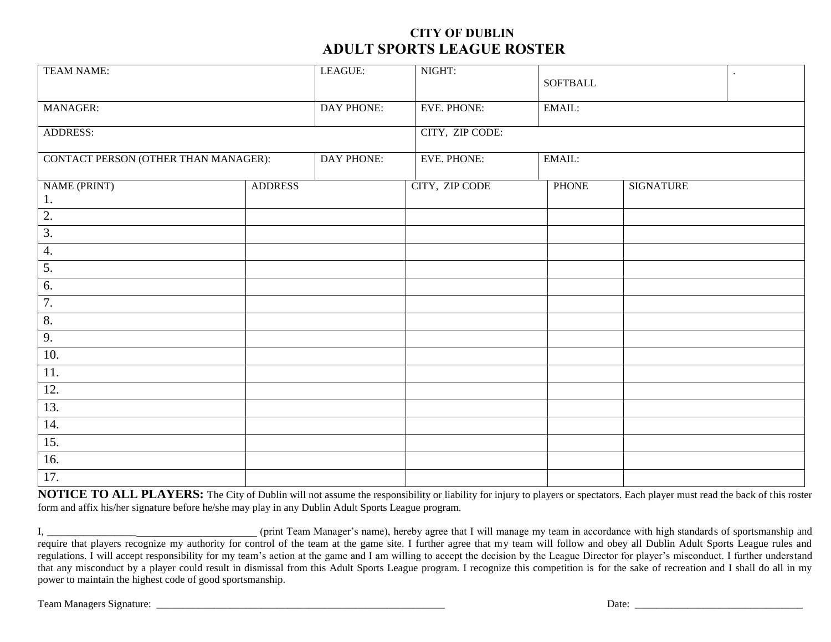## **CITY OF DUBLIN ADULT SPORTS LEAGUE ROSTER**

| <b>TEAM NAME:</b>                    |                | LEAGUE:           | NIGHT:             | <b>SOFTBALL</b> |                  |  |
|--------------------------------------|----------------|-------------------|--------------------|-----------------|------------------|--|
|                                      |                |                   |                    |                 |                  |  |
| MANAGER:                             |                | <b>DAY PHONE:</b> | <b>EVE. PHONE:</b> | EMAIL:          |                  |  |
| ADDRESS:                             |                |                   | CITY, ZIP CODE:    |                 |                  |  |
| CONTACT PERSON (OTHER THAN MANAGER): |                | <b>DAY PHONE:</b> | <b>EVE. PHONE:</b> | EMAIL:          |                  |  |
| NAME (PRINT)                         | <b>ADDRESS</b> |                   | CITY, ZIP CODE     | <b>PHONE</b>    | <b>SIGNATURE</b> |  |
| 1.                                   |                |                   |                    |                 |                  |  |
| $\overline{2}$ .                     |                |                   |                    |                 |                  |  |
| $\overline{3}$ .                     |                |                   |                    |                 |                  |  |
| 4.                                   |                |                   |                    |                 |                  |  |
| $\overline{5}$ .                     |                |                   |                    |                 |                  |  |
| 6.                                   |                |                   |                    |                 |                  |  |
| 7.                                   |                |                   |                    |                 |                  |  |
| 8.                                   |                |                   |                    |                 |                  |  |
| 9.                                   |                |                   |                    |                 |                  |  |
| 10.                                  |                |                   |                    |                 |                  |  |
| 11.                                  |                |                   |                    |                 |                  |  |
| 12.                                  |                |                   |                    |                 |                  |  |
| 13.                                  |                |                   |                    |                 |                  |  |
| 14.                                  |                |                   |                    |                 |                  |  |
| 15.                                  |                |                   |                    |                 |                  |  |
| 16.                                  |                |                   |                    |                 |                  |  |
| 17.                                  |                |                   |                    |                 |                  |  |

**NOTICE TO ALL PLAYERS:** The City of Dublin will not assume the responsibility or liability for injury to players or spectators. Each player must read the back of this roster form and affix his/her signature before he/she may play in any Dublin Adult Sports League program.

I, \_\_\_\_\_\_\_\_\_\_\_\_\_\_\_\_\_\_\_\_\_\_\_\_\_\_\_\_\_\_\_\_\_\_\_\_\_\_\_\_ (print Team Manager's name), hereby agree that I will manage my team in accordance with high standards of sportsmanship and require that players recognize my authority for control of the team at the game site. I further agree that my team will follow and obey all Dublin Adult Sports League rules and regulations. I will accept responsibility for my team's action at the game and I am willing to accept the decision by the League Director for player's misconduct. I further understand that any misconduct by a player could result in dismissal from this Adult Sports League program. I recognize this competition is for the sake of recreation and I shall do all in my power to maintain the highest code of good sportsmanship.